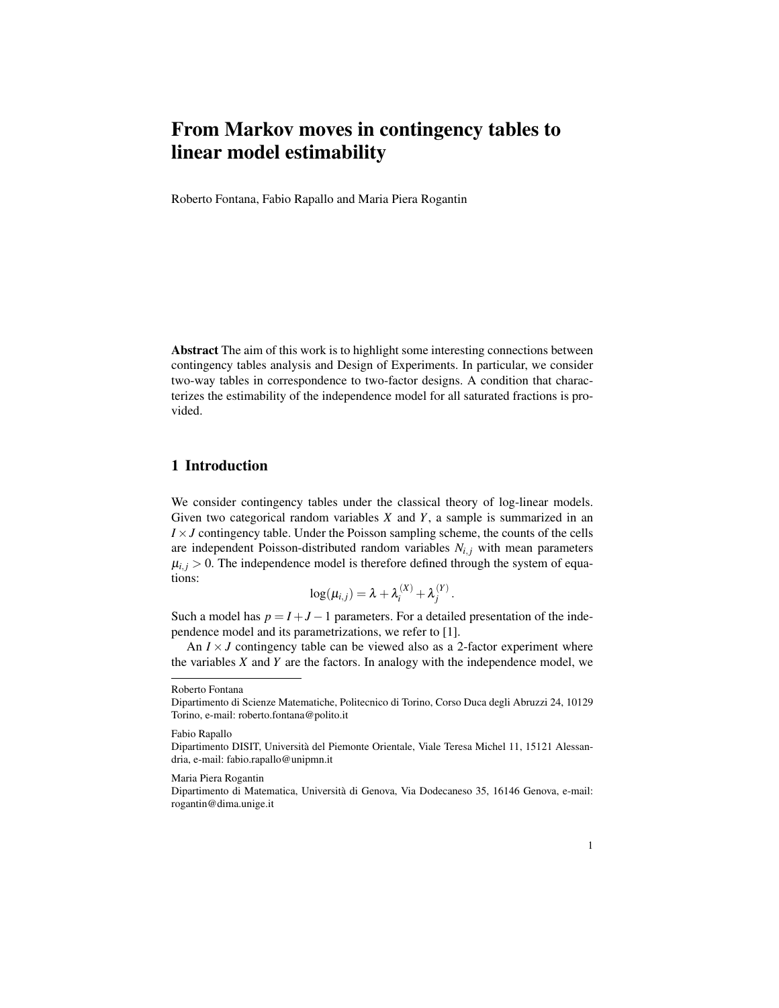# From Markov moves in contingency tables to linear model estimability

Roberto Fontana, Fabio Rapallo and Maria Piera Rogantin

Abstract The aim of this work is to highlight some interesting connections between contingency tables analysis and Design of Experiments. In particular, we consider two-way tables in correspondence to two-factor designs. A condition that characterizes the estimability of the independence model for all saturated fractions is provided.

# 1 Introduction

We consider contingency tables under the classical theory of log-linear models. Given two categorical random variables *X* and *Y*, a sample is summarized in an  $I \times J$  contingency table. Under the Poisson sampling scheme, the counts of the cells are independent Poisson-distributed random variables  $N_{i,j}$  with mean parameters  $\mu_{i,j} > 0$ . The independence model is therefore defined through the system of equations:

$$
\log(\mu_{i,j}) = \lambda + \lambda_i^{(X)} + \lambda_j^{(Y)}.
$$

Such a model has  $p = I + J - 1$  parameters. For a detailed presentation of the independence model and its parametrizations, we refer to [1].

An  $I \times J$  contingency table can be viewed also as a 2-factor experiment where the variables *X* and *Y* are the factors. In analogy with the independence model, we

Roberto Fontana

Dipartimento di Scienze Matematiche, Politecnico di Torino, Corso Duca degli Abruzzi 24, 10129 Torino, e-mail: roberto.fontana@polito.it

Fabio Rapallo

Dipartimento DISIT, Universita del Piemonte Orientale, Viale Teresa Michel 11, 15121 Alessan- ` dria, e-mail: fabio.rapallo@unipmn.it

Maria Piera Rogantin

Dipartimento di Matematica, Universita di Genova, Via Dodecaneso 35, 16146 Genova, e-mail: ` rogantin@dima.unige.it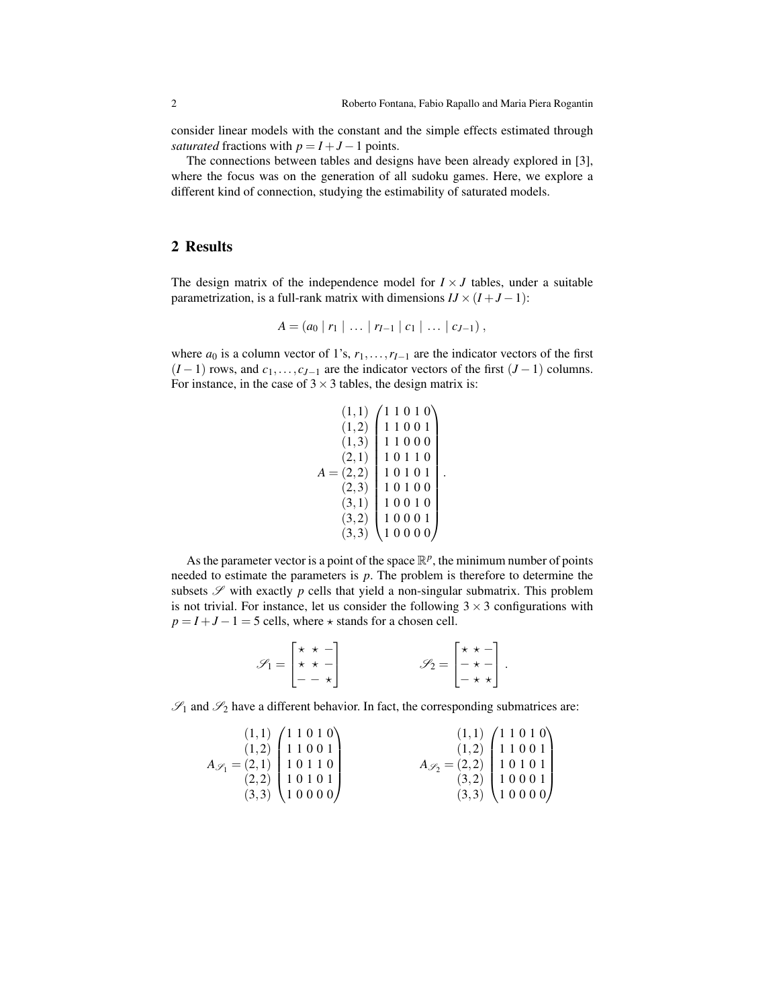consider linear models with the constant and the simple effects estimated through *saturated* fractions with  $p = I + J - 1$  points.

The connections between tables and designs have been already explored in [3], where the focus was on the generation of all sudoku games. Here, we explore a different kind of connection, studying the estimability of saturated models.

## 2 Results

The design matrix of the independence model for  $I \times J$  tables, under a suitable parametrization, is a full-rank matrix with dimensions  $IJ \times (I + J - 1)$ :

$$
A = (a_0 | r_1 | \ldots | r_{I-1} | c_1 | \ldots | c_{J-1}),
$$

where  $a_0$  is a column vector of 1's,  $r_1, \ldots, r_{I-1}$  are the indicator vectors of the first  $(I-1)$  rows, and  $c_1, \ldots, c_{J-1}$  are the indicator vectors of the first  $(J-1)$  columns. For instance, in the case of  $3 \times 3$  tables, the design matrix is:

$$
A = \begin{pmatrix} 1,1 \\ 1,2 \\ 1,3 \\ 2,1 \end{pmatrix} \begin{pmatrix} 1 & 1 & 0 & 1 & 0 \\ 1 & 1 & 0 & 0 & 1 \\ 1 & 1 & 0 & 0 & 0 \\ 1 & 0 & 1 & 1 & 0 \\ 1 & 0 & 1 & 1 & 0 \\ 2,3 & 1 & 0 & 1 & 0 \\ 3,1 & 1 & 0 & 0 & 1 \\ 3,2 & 1 & 0 & 0 & 0 \\ 3,3 & 1 & 0 & 0 & 0 \end{pmatrix}
$$

.

As the parameter vector is a point of the space  $\mathbb{R}^p$ , the minimum number of points needed to estimate the parameters is *p*. The problem is therefore to determine the subsets  $\mathscr S$  with exactly  $p$  cells that yield a non-singular submatrix. This problem is not trivial. For instance, let us consider the following  $3 \times 3$  configurations with  $p = I + J - 1 = 5$  cells, where  $\star$  stands for a chosen cell.

$$
\mathscr{S}_1 = \begin{bmatrix} \star & \star & - \\ \star & \star & - \\ - & - & \star \end{bmatrix} \qquad \qquad \mathscr{S}_2 = \begin{bmatrix} \star & \star & - \\ - & \star & - \\ - & \star & \star \end{bmatrix}.
$$

 $\mathscr{S}_1$  and  $\mathscr{S}_2$  have a different behavior. In fact, the corresponding submatrices are:

|                                                     | $(1,1)$ $\begin{pmatrix} 1 & 1 & 0 & 1 & 0 \\ 1 & 1 & 0 & 0 & 1 \end{pmatrix}$                                    |                                                                                                          | $(1,1)$ $(1 1 0 1 0)$<br>$(1,2)$ $(1 1 0 0 1)$ |
|-----------------------------------------------------|-------------------------------------------------------------------------------------------------------------------|----------------------------------------------------------------------------------------------------------|------------------------------------------------|
| $A_{\mathscr{S}_1} = (2,1) \mid 1\;0\;1\;1\;0 \mid$ |                                                                                                                   | $A_{\mathscr{S}_2} = (2,2) \begin{bmatrix} 1 & 0 & 1 & 0 & 1 \\ 3 & 2 & 1 & 0 & 0 & 0 & 1 \end{bmatrix}$ |                                                |
|                                                     | $\begin{pmatrix} 2,2 \\ 3,3 \end{pmatrix}$ $\begin{pmatrix} 1 & 0 & 1 & 0 & 1 \\ 1 & 0 & 0 & 0 & 0 \end{pmatrix}$ |                                                                                                          |                                                |
|                                                     |                                                                                                                   |                                                                                                          | $(3,3)$ (10000)                                |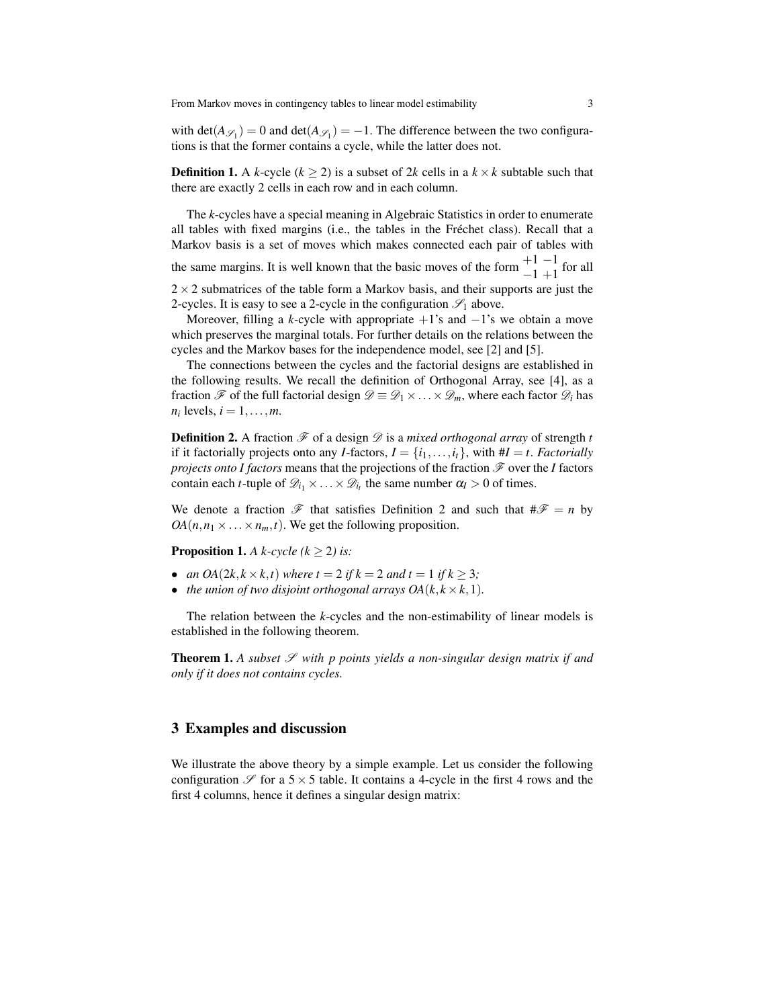with  $\det(A_{\mathscr{S}_1}) = 0$  and  $\det(A_{\mathscr{S}_1}) = -1$ . The difference between the two configurations is that the former contains a cycle, while the latter does not.

**Definition 1.** A *k*-cycle ( $k \ge 2$ ) is a subset of 2*k* cells in a  $k \times k$  subtable such that there are exactly 2 cells in each row and in each column.

The *k*-cycles have a special meaning in Algebraic Statistics in order to enumerate all tables with fixed margins (i.e., the tables in the Fréchet class). Recall that a Markov basis is a set of moves which makes connected each pair of tables with the same margins. It is well known that the basic moves of the form  $\frac{+1}{-1}$  +1 for all  $2 \times 2$  submatrices of the table form a Markov basis, and their supports are just the 2-cycles. It is easy to see a 2-cycle in the configuration  $\mathcal{S}_1$  above.

Moreover, filling a *k*-cycle with appropriate  $+1$ 's and  $-1$ 's we obtain a move which preserves the marginal totals. For further details on the relations between the cycles and the Markov bases for the independence model, see [2] and [5].

The connections between the cycles and the factorial designs are established in the following results. We recall the definition of Orthogonal Array, see [4], as a fraction  $\mathscr F$  of the full factorial design  $\mathscr D \equiv \mathscr D_1 \times \ldots \times \mathscr D_m$ , where each factor  $\mathscr D_i$  has  $n_i$  levels,  $i = 1, \ldots, m$ .

Definition 2. A fraction  $\mathcal F$  of a design  $\mathcal D$  is a *mixed orthogonal array* of strength *t* if it factorially projects onto any *I*-factors,  $I = \{i_1, \ldots, i_t\}$ , with  $\#I = t$ . *Factorially projects onto I factors* means that the projections of the fraction  $\mathcal F$  over the *I* factors contain each *t*-tuple of  $\mathcal{D}_{i_1} \times \ldots \times \mathcal{D}_{i_t}$  the same number  $\alpha_I > 0$  of times.

We denote a fraction  $\mathscr F$  that satisfies Definition 2 and such that  $\#\mathscr F = n$  by  $OA(n, n_1 \times \ldots \times n_m, t)$ . We get the following proposition.

**Proposition 1.** *A k-cycle*  $(k > 2)$  *is:* 

- *an*  $OA(2k, k \times k, t)$  *where t* = 2 *if*  $k = 2$  *and t* = 1 *if*  $k \ge 3$ ;
- *the union of two disjoint orthogonal arrays*  $OA(k, k \times k, 1)$ *.*

The relation between the *k*-cycles and the non-estimability of linear models is established in the following theorem.

**Theorem 1.** A subset  $\mathcal S$  with p points yields a non-singular design matrix if and *only if it does not contains cycles.*

#### 3 Examples and discussion

We illustrate the above theory by a simple example. Let us consider the following configuration  $\mathscr S$  for a 5  $\times$  5 table. It contains a 4-cycle in the first 4 rows and the first 4 columns, hence it defines a singular design matrix: